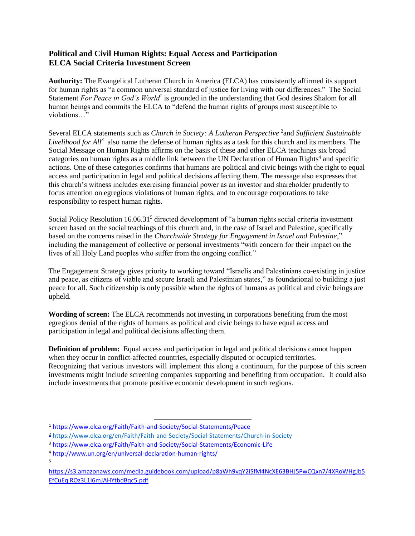## **Political and Civil Human Rights: Equal Access and Participation ELCA Social Criteria Investment Screen**

**Authority:** The Evangelical Lutheran Church in America (ELCA) has consistently affirmed its support for human rights as "a common universal standard of justice for living with our differences." The Social Statement *For Peace in God's World<sup>1</sup>* is grounded in the understanding that God desires Shalom for all human beings and commits the ELCA to "defend the human rights of groups most susceptible to violations…"

Several ELCA statements such as *Church in Society: A Lutheran Perspective* <sup>2</sup> and *Sufficient Sustainable Livelihood for All<sup>3</sup>* also name the defense of human rights as a task for this church and its members. The Social Message on Human Rights affirms on the basis of these and other ELCA teachings six broad categories on human rights as a middle link between the UN Declaration of Human Rights<sup>4</sup> and specific actions. One of these categories confirms that humans are political and civic beings with the right to equal access and participation in legal and political decisions affecting them. The message also expresses that this church's witness includes exercising financial power as an investor and shareholder prudently to focus attention on egregious violations of human rights, and to encourage corporations to take responsibility to respect human rights.

Social Policy Resolution 16.06.31<sup>5</sup> directed development of "a human rights social criteria investment screen based on the social teachings of this church and, in the case of Israel and Palestine, specifically based on the concerns raised in the *Churchwide Strategy for Engagement in Israel and Palestine*," including the management of collective or personal investments "with concern for their impact on the lives of all Holy Land peoples who suffer from the ongoing conflict."

The Engagement Strategy gives priority to working toward "Israelis and Palestinians co-existing in justice and peace, as citizens of viable and secure Israeli and Palestinian states," as foundational to building a just peace for all. Such citizenship is only possible when the rights of humans as political and civic beings are upheld.

**Wording of screen:** The ELCA recommends not investing in corporations benefiting from the most egregious denial of the rights of humans as political and civic beings to have equal access and participation in legal and political decisions affecting them.

**Definition of problem:** Equal access and participation in legal and political decisions cannot happen when they occur in conflict-affected countries, especially disputed or occupied territories. Recognizing that various investors will implement this along a continuum, for the purpose of this screen investments might include screening companies supporting and benefiting from occupation. It could also include investments that promote positive economic development in such regions.

 $\overline{a}$ 

5

<sup>1</sup> https://www.elca.org/Faith/Faith-and-Society/Social-Statements/Peace

<sup>2</sup> <https://www.elca.org/en/Faith/Faith-and-Society/Social-Statements/Church-in-Society>

<sup>3</sup> https://www.elca.org/Faith/Faith-and-Society/Social-Statements/Economic-Life

<sup>4</sup> http://www.un.org/en/universal-declaration-human-rights/

https://s3.amazonaws.com/media.guidebook.com/upload/p8aWh9vqY2iSfM4NcXE63BHJ5PwCQxn7/4XRoWHgJb5 EfCuEq ROz3L1I6mJAHYtbdBqc5.pdf